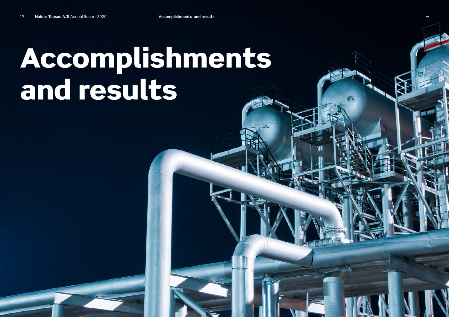# Accomplishments and results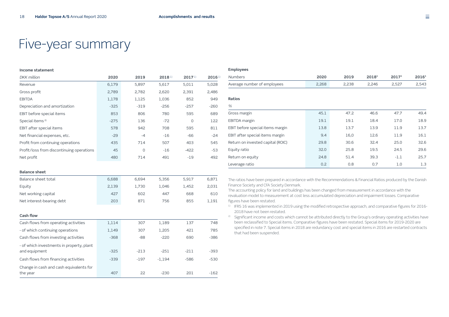## Five-year summary

| Income statement                                           |        |        |                      |          |        |  |  |  |
|------------------------------------------------------------|--------|--------|----------------------|----------|--------|--|--|--|
| <b>DKK</b> million                                         | 2020   | 2019   | $2018$ <sup>1)</sup> | 20171    | 20161  |  |  |  |
| Revenue                                                    | 6,179  | 5,897  | 5,617                | 5,011    | 5,028  |  |  |  |
| Gross profit                                               | 2,789  | 2,782  | 2,620                | 2,391    | 2,486  |  |  |  |
| <b>EBITDA</b>                                              | 1,178  | 1,125  | 1.036                | 852      | 949    |  |  |  |
| Depreciation and amortization                              | $-325$ | $-319$ | $-256$               | $-257$   | $-260$ |  |  |  |
| EBIT before special items                                  | 853    | 806    | 780                  | 595      | 689    |  |  |  |
| Special items <sup>2)</sup>                                | $-275$ | 136    | $-72$                | $\Omega$ | 122    |  |  |  |
| EBIT after special items                                   | 578    | 942    | 708                  | 595      | 811    |  |  |  |
| Net financial expenses, etc.                               | $-29$  | $-4$   | $-16$                | $-66$    | $-24$  |  |  |  |
| Profit from continuing operations                          | 435    | 714    | 507                  | 403      | 545    |  |  |  |
| Profit/loss from discontinuing operations                  | 45     | 0      | $-16$                | $-422$   | $-53$  |  |  |  |
| Net profit                                                 | 480    | 714    | 491                  | $-19$    | 492    |  |  |  |
| <b>Balance sheet</b>                                       |        |        |                      |          |        |  |  |  |
| Balance sheet total                                        | 6,688  | 6,694  | 5,356                | 5,917    | 6,871  |  |  |  |
| Equity                                                     | 2,139  | 1,730  | 1,046                | 1,452    | 2,031  |  |  |  |
| Net working capital                                        | 427    | 602    | 447                  | 668      | 610    |  |  |  |
| Net interest-bearing debt                                  | 203    | 871    | 756                  | 855      | 1,191  |  |  |  |
| <b>Cash flow</b>                                           |        |        |                      |          |        |  |  |  |
| Cash flows from operating activities                       | 1,114  | 307    | 1,189                | 137      | 748    |  |  |  |
| - of which continuing operations                           | 1,149  | 307    | 1,205                | 421      | 785    |  |  |  |
| Cash flows from investing activities                       | $-368$ | $-88$  | $-220$               | 690      | $-386$ |  |  |  |
| - of which investments in property, plant<br>and equipment | $-325$ | $-213$ | $-251$               | $-211$   | $-393$ |  |  |  |
| Cash flows from financing activities                       | $-339$ | $-197$ | $-1,194$             | $-586$   | $-530$ |  |  |  |
| Change in cash and cash equivalents for<br>the year        | 407    | 22     | $-230$               | 201      | $-162$ |  |  |  |

#### **Employees**

| <b>Numbers</b>                    | 2020  | 2019  | 20181 | 2017 <sup>1</sup> | 2016 <sup>1</sup> |
|-----------------------------------|-------|-------|-------|-------------------|-------------------|
| Average number of employees       | 2,268 | 2,238 | 2,246 | 2,527             | 2,543             |
| <b>Ratios</b>                     |       |       |       |                   |                   |
| $\%$                              |       |       |       |                   |                   |
| Gross margin                      | 45.1  | 47.2  | 46.6  | 47.7              | 49.4              |
| EBITDA margin                     | 19.1  | 19.1  | 18.4  | 17.0              | 18.9              |
| EBIT before special items margin  | 13.8  | 13.7  | 13.9  | 11.9              | 13.7              |
| EBIT after special items margin   | 9.4   | 16,0  | 12.6  | 11.9              | 16.1              |
| Return on invested capital (ROIC) | 29.8  | 30.6  | 32.4  | 25.0              | 32.6              |
| Equity ratio                      | 32.0  | 25.8  | 19.5  | 24.5              | 29.6              |
| Return on equity                  | 24.8  | 51.4  | 39.3  | $-1.1$            | 25.7              |
| Leverage ratio                    | 0.2   | 0.8   | 0.7   | 1.0               | 1.3               |

The ratios have been prepared in accordance with the Recommendations & Financial Ratios produced by the Danish Finance Society and CFA Society Denmark.

The accounting policy for land and buildings has been changed from measurement in accordance with the revaluation model to measurement at cost less accumulated depreciation and impairment losses. Comparative figures have been restated.

- <sup>1)</sup> IFRS 16 was implemented in 2019 using the modified retrospective approach, and comparative figures for 2016-2018 have not been restated.
- <sup>2)</sup> Significant income and costs which cannot be attributed directly to the Group's ordinary operating activities have been reclassified to Special items. Comparative figures have been restated. Special items for 2019-2020 are specified in note 7. Special items in 2018 are redundancy cost and special items in 2016 are restarted contracts that had been suspended.